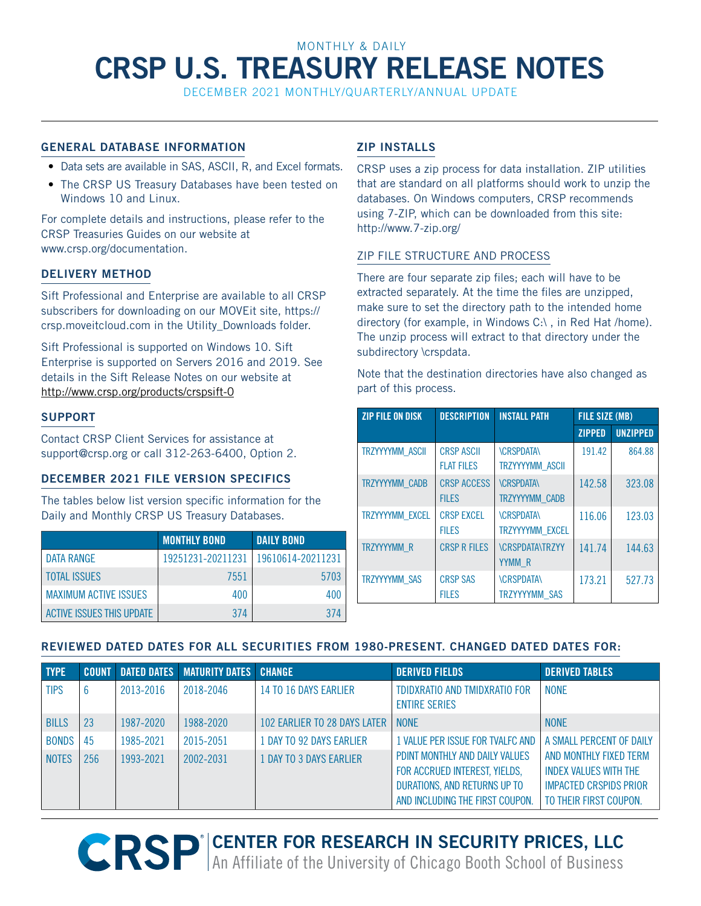# MONTHLY & DAILY **CRSP U.S. TREASURY RELEASE NOTES**

December 2021 Monthly/Quarterly/Annual UPDATE

## **GENERAL DATABASE INFORMATION**

- Data sets are available in SAS, ASCII, R, and Excel formats.
- The CRSP US Treasury Databases have been tested on Windows 10 and Linux.

For complete details and instructions, please refer to the CRSP Treasuries Guides on our website at [www.crsp.org/documentation](http://www.crsp.org/documentation).

## **DELIVERY METHOD**

Sift Professional and Enterprise are available to all CRSP subscribers for downloading on our MOVEit site, https:// crsp.moveitcloud.com in the Utility\_Downloads folder.

Sift Professional is supported on Windows 10. Sift Enterprise is supported on Servers 2016 and 2019. See details in the Sift Release Notes on our website at <http://www.crsp.org/products/crspsift-0>

## **SUPPORT**

Contact CRSP Client Services for assistance at [support@crsp.org](mailto:support%40crsp.org?subject=) or call 312-263-6400, Option 2.

## **December 2021 FILE VERSION SPECIFICS**

The tables below list version specific information for the Daily and Monthly CRSP US Treasury Databases.

|                                  | <b>MONTHLY BOND</b> | <b>DAILY BOND</b> |
|----------------------------------|---------------------|-------------------|
| DATA RANGE                       | 19251231-20211231   | 19610614-20211231 |
| <b>TOTAL ISSUES</b>              | 7551                | 5703              |
| <b>MAXIMUM ACTIVE ISSUES</b>     | 400                 | 400               |
| <b>ACTIVE ISSUES THIS UPDATE</b> | 374                 | 374               |

## **ZIP INSTALLS**

CRSP uses a zip process for data installation. ZIP utilities that are standard on all platforms should work to unzip the databases. On Windows computers, CRSP recommends using 7-ZIP, which can be downloaded from this site: http://www.7-zip.org/

## ZIP FILE STRUCTURE AND PROCESS

There are four separate zip files; each will have to be extracted separately. At the time the files are unzipped, make sure to set the directory path to the intended home directory (for example, in Windows C:\ , in Red Hat /home). The unzip process will extract to that directory under the subdirectory \crspdata.

Note that the destination directories have also changed as part of this process.

| <b>ZIP FILE ON DISK</b> | <b>DESCRIPTION</b>                     |                                            | <b>FILE SIZE (MB)</b> |                 |
|-------------------------|----------------------------------------|--------------------------------------------|-----------------------|-----------------|
|                         |                                        |                                            | <b>ZIPPED</b>         | <b>UNZIPPED</b> |
| TRZYYYYMM ASCII         | <b>CRSP ASCII</b><br><b>FLAT FILES</b> | <b>\CRSPDATA\</b><br>TRZYYYYMM_ASCII       | 191.42                | 864.88          |
| TRZYYYYMM_CADB          | <b>CRSP ACCESS</b><br><b>FILES</b>     | <b>\CRSPDATA\</b><br><b>TRZYYYYMM CADB</b> | 142.58                | 323.08          |
| TRZYYYYMM EXCEL         | <b>CRSP EXCEL</b><br><b>FILES</b>      | <b>\CRSPDATA\</b><br>TRZYYYYMM EXCEL       | 116.06                | 123.03          |
| <b>TRZYYYYMM R</b>      | <b>CRSP R FILES</b>                    | <b>\CRSPDATA\TRZYY</b><br>YYMM R           | 141.74                | 144.63          |
| <b>TRZYYYYMM SAS</b>    | <b>CRSP SAS</b><br><b>FILES</b>        | <b>\CRSPDATA\</b><br><b>TRZYYYYMM SAS</b>  | 173.21                | 527.73          |

#### **REVIEWED DATED DATES FOR ALL SECURITIES FROM 1980-PRESENT. CHANGED DATED DATES FOR:**

| <b>TYPE</b>  | <b>COUNT</b> |           | <b>DATED DATES   MATURITY DATES   CHANGE</b> |                              | <b>DERIVED FIELDS</b>                                                                                                              | <b>DERIVED TABLES</b>                                                                                             |
|--------------|--------------|-----------|----------------------------------------------|------------------------------|------------------------------------------------------------------------------------------------------------------------------------|-------------------------------------------------------------------------------------------------------------------|
| <b>TIPS</b>  | 6            | 2013-2016 | 2018-2046                                    | 14 TO 16 DAYS EARLIER        | TDIDXRATIO AND TMIDXRATIO FOR<br><b>ENTIRE SERIES</b>                                                                              | <b>NONE</b>                                                                                                       |
| <b>BILLS</b> | 23           | 1987-2020 | 1988-2020                                    | 102 EARLIER TO 28 DAYS LATER | <b>NONF</b>                                                                                                                        | <b>NONE</b>                                                                                                       |
| <b>BONDS</b> | 45           | 1985-2021 | 2015-2051                                    | 1 DAY TO 92 DAYS EARLIER     | 1 VALUE PER ISSUE FOR TVALFC AND                                                                                                   | A SMALL PERCENT OF DAILY                                                                                          |
| <b>NOTES</b> | 256          | 1993-2021 | 2002-2031                                    | 1 DAY TO 3 DAYS EARLIER      | PDINT MONTHLY AND DAILY VALUES<br>FOR ACCRUED INTEREST, YIELDS,<br>DURATIONS, AND RETURNS UP TO<br>AND INCLUDING THE FIRST COUPON. | AND MONTHLY FIXED TERM<br><b>INDEX VALUES WITH THE</b><br><b>IMPACTED CRSPIDS PRIOR</b><br>TO THEIR FIRST COUPON. |

**R CENTER FOR RESEARCH IN SECURITY PRICES, LLC** An Affiliate of the University of Chicago Booth School of Business